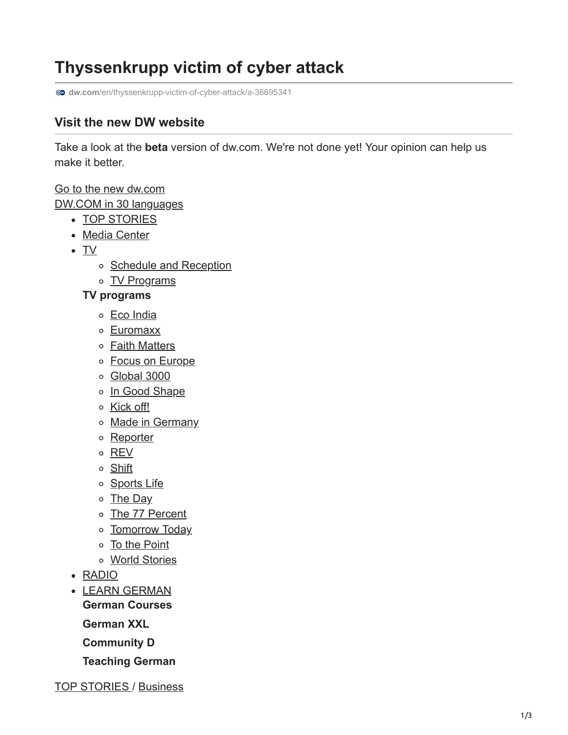## **Thyssenkrupp victim of cyber attack**

**dw.com**[/en/thyssenkrupp-victim-of-cyber-attack/a-36695341](https://www.dw.com/en/thyssenkrupp-victim-of-cyber-attack/a-36695341)

## **Visit the new DW website**

Take a look at the **beta** version of dw.com. We're not done yet! Your opinion can help us make it better.

[Go to the new dw.com](https://beta.dw.com/en/thyssenkrupp-victim-of-cyber-attack/a-36695341) DW.COM in 30 languages

- [TOP STORIES](https://www.dw.com/en/top-stories/s-9097)
- [Media Center](https://www.dw.com/en/media-center/s-100824)
- [TV](https://www.dw.com/en/tv/s-1452)
	- o [Schedule and Reception](https://www.dw.com/en/schedule-and-reception/s-4757)
	- [TV Programs](https://www.dw.com/en/tv-programs/s-9103)

**TV programs**

- [Eco India](https://www.dw.com/en/eco-india/s-45624129)
- [Euromaxx](https://www.dw.com/en/euromaxx/s-7555)
- o **[Faith Matters](https://www.dw.com/en/faith-matters/s-3952)**
- o [Focus on Europe](https://www.dw.com/en/focus-on-europe/s-101185)
- [Global 3000](https://www.dw.com/en/global-3000/s-11487)
- o [In Good Shape](https://www.dw.com/en/in-good-shape/s-11938)
- o [Kick off!](https://www.dw.com/en/kick-off/s-12839)
- o [Made in Germany](https://www.dw.com/en/made-in-germany/s-3066)
- o [Reporter](https://www.dw.com/en/reporter/s-31616)
- [REV](https://www.dw.com/en/rev/s-51415805)
- o [Shift](https://www.dw.com/en/shift/s-30417)
- o [Sports Life](https://www.dw.com/en/sports-life/s-51415836)
- o [The Day](https://www.dw.com/en/the-day/s-32613)
- [The 77 Percent](https://www.dw.com/en/the-77-percent/s-47689720)
- o [Tomorrow Today](https://www.dw.com/en/tomorrow-today/s-3062)
- [To the Point](https://www.dw.com/en/to-the-point/s-50034043)
- [World Stories](https://www.dw.com/en/world-stories/s-30419)
- [RADIO](https://www.dw.com/en/radio/s-32771)
- [LEARN GERMAN](https://www.dw.com/en/learn-german/s-2469) **German Courses**
	- **German XXL**
	- **Community D**
	-
	- **Teaching German**

[TOP STORIES](https://www.dw.com/en/top-stories/s-9097) / [Business](https://www.dw.com/en/business/s-1431)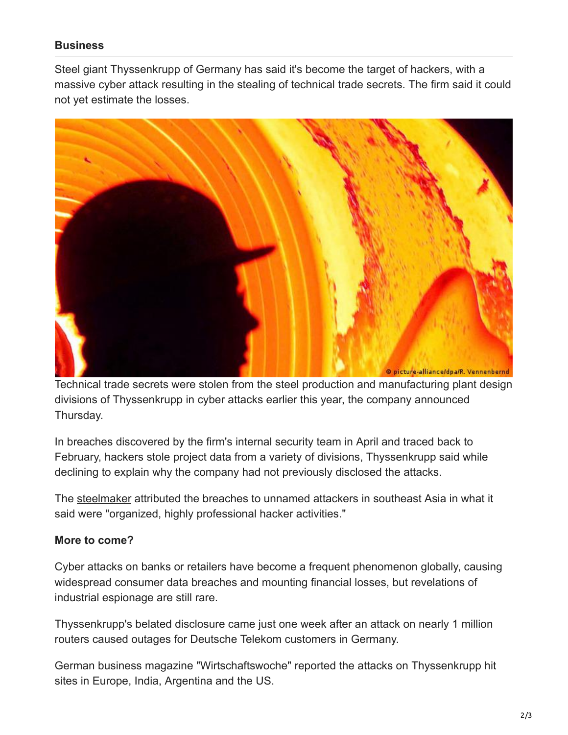## **Business**

Steel giant Thyssenkrupp of Germany has said it's become the target of hackers, with a massive cyber attack resulting in the stealing of technical trade secrets. The firm said it could not yet estimate the losses.



Technical trade secrets were stolen from the steel production and manufacturing plant design divisions of Thyssenkrupp in cyber attacks earlier this year, the company announced Thursday.

In breaches discovered by the firm's internal security team in April and traced back to February, hackers stole project data from a variety of divisions, Thyssenkrupp said while declining to explain why the company had not previously disclosed the attacks.

The [steelmaker](https://www.dw.com/en/thyssenkrupp-profit-squeezed-by-global-steel-glut/a-36502748) attributed the breaches to unnamed attackers in southeast Asia in what it said were "organized, highly professional hacker activities."

## **More to come?**

Cyber attacks on banks or retailers have become a frequent phenomenon globally, causing widespread consumer data breaches and mounting financial losses, but revelations of industrial espionage are still rare.

Thyssenkrupp's belated disclosure came just one week after an attack on nearly 1 million routers caused outages for Deutsche Telekom customers in Germany.

German business magazine "Wirtschaftswoche" reported the attacks on Thyssenkrupp hit sites in Europe, India, Argentina and the US.